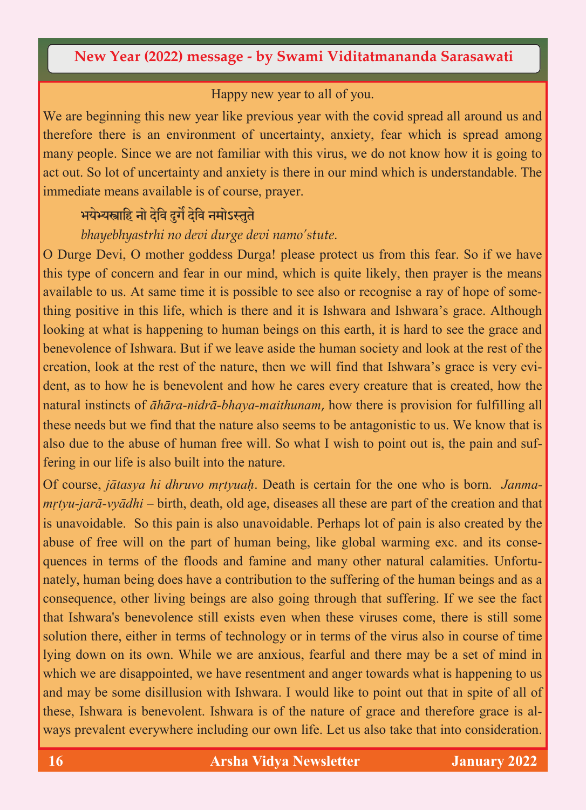## **New Year (2022) message - by Swami Viditatmananda Sarasawati**

## Happy new year to all of you.

We are beginning this new year like previous year with the covid spread all around us and therefore there is an environment of uncertainty, anxiety, fear which is spread among many people. Since we are not familiar with this virus, we do not know how it is going to act out. So lot of uncertainty and anxiety is there in our mind which is understandable. The immediate means available is of course, prayer.

## भयभ्ये स्त्राहि नो दहेि दुर्गेदहेि नमोऽस्ततुे

## *bhayebhyastrhi no devi durge devi namo'stute.*

O Durge Devi, O mother goddess Durga! please protect us from this fear. So if we have this type of concern and fear in our mind, which is quite likely, then prayer is the means available to us. At same time it is possible to see also or recognise a ray of hope of something positive in this life, which is there and it is Ishwara and Ishwara's grace. Although looking at what is happening to human beings on this earth, it is hard to see the grace and benevolence of Ishwara. But if we leave aside the human society and look at the rest of the creation, look at the rest of the nature, then we will find that Ishwara's grace is very evident, as to how he is benevolent and how he cares every creature that is created, how the natural instincts of *āhāra-nidrā-bhaya-maithunam*, how there is provision for fulfilling all these needs but we find that the nature also seems to be antagonistic to us. We know that is also due to the abuse of human free will. So what I wish to point out is, the pain and suffering in our life is also built into the nature.

Of course, *jātasya hi dhruvo mṛtyuaḥ*. Death is certain for the one who is born. *Janmamṛtyu-jarā-vyādhi* – birth, death, old age, diseases all these are part of the creation and that is unavoidable. So this pain is also unavoidable. Perhaps lot of pain is also created by the abuse of free will on the part of human being, like global warming exc. and its consequences in terms of the floods and famine and many other natural calamities. Unfortunately, human being does have a contribution to the suffering of the human beings and as a consequence, other living beings are also going through that suffering. If we see the fact that Ishwara's benevolence still exists even when these viruses come, there is still some solution there, either in terms of technology or in terms of the virus also in course of time lying down on its own. While we are anxious, fearful and there may be a set of mind in which we are disappointed, we have resentment and anger towards what is happening to us and may be some disillusion with Ishwara. I would like to point out that in spite of all of these, Ishwara is benevolent. Ishwara is of the nature of grace and therefore grace is always prevalent everywhere including our own life. Let us also take that into consideration.